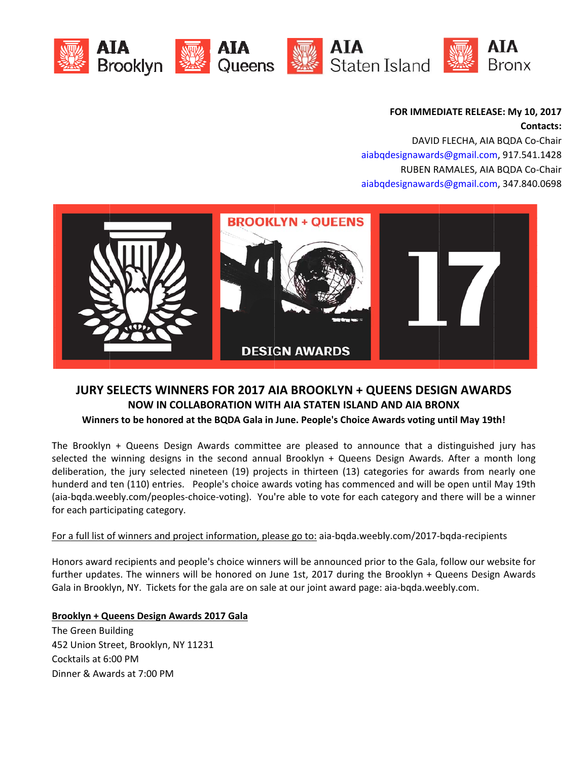







**FOR IMMEDIATE RELEASE: My 10, 2017**  $\textsf{Contents}:$ 

aiabqdesignawards@gmail.com, 917.541.1428 aiabqdesignawards@gmail.com, 347.840.0698 DAVID FLECHA, AIA BQDA Co-Chair RUBEN RAMALES, AIA BQDA Co-Chair



# **JURY SELECTS WINNERS FOR 2017 AIA BROOKLYN + QUEENS DESIGN AWARDS NOW IN N COLLABOR RATION WIT H AIA STATE EN ISLAND A AND AIA BRO ONX**

### Winners to be honored at the BQDA Gala in June. People's Choice Awards voting until May 19th!

The Brooklyn + Queens Design Awards committee are pleased to announce that a distinguished jury has selected the winning designs in the second annual Brooklyn + Queens Design Awards. After a month long deliberation, the jury selected nineteen (19) projects in thirteen (13) categories for awards from nearly one hunderd and ten (110) entries. People's choice awards voting has commenced and will be open until May 19th (aia-bqda.weebly.com/peoples-choice-voting). You're able to vote for each category and there will be a winner f for each parti cipating categ gory.

## For a full list of winners and project information, please go to: aia-bqda.weebly.com/2017-bqda-recipients

Honors award recipients and people's choice winners will be announced prior to the Gala, follow our website for further updates. The winners will be honored on June 1st, 2017 during the Brooklyn + Queens Design Awards Gala in Brooklyn, NY. Tickets for the gala are on sale at our joint award page: aia-bqda.weebly.com.

## **Brooklyn + Queens Design Awards 2017 Gala**

T The Green Bu ilding 452 Union Street, Brooklyn, NY 11231 Cocktails at 6:00 PM Dinner & Awards at 7:00 PM